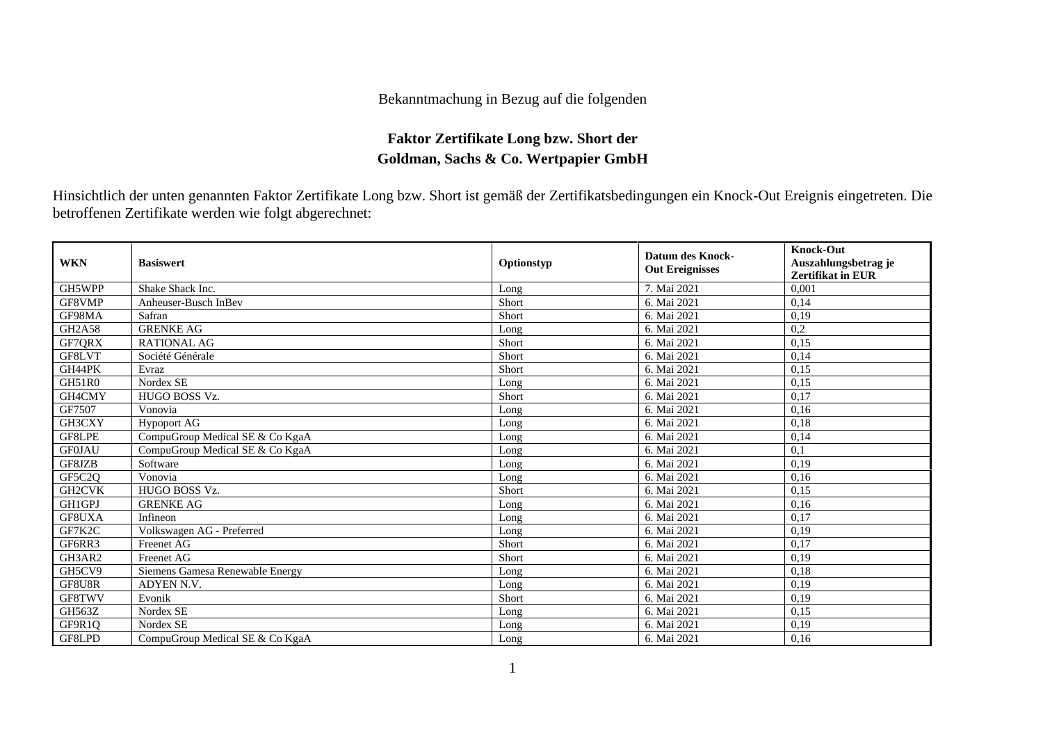## Bekanntmachung in Bezug auf die folgenden

## **Faktor Zertifikate Long bzw. Short der Goldman, Sachs & Co. Wertpapier GmbH**

Hinsichtlich der unten genannten Faktor Zertifikate Long bzw. Short ist gemäß der Zertifikatsbedingungen ein Knock-Out Ereignis eingetreten. Die betroffenen Zertifikate werden wie folgt abgerechnet:

| <b>WKN</b>    | <b>Basiswert</b>                | Optionstyp | <b>Datum des Knock-</b><br><b>Out Ereignisses</b> | <b>Knock-Out</b><br>Auszahlungsbetrag je<br><b>Zertifikat in EUR</b> |
|---------------|---------------------------------|------------|---------------------------------------------------|----------------------------------------------------------------------|
| GH5WPP        | Shake Shack Inc.                | Long       | 7. Mai 2021                                       | 0.001                                                                |
| GF8VMP        | Anheuser-Busch InBev            | Short      | 6. Mai 2021                                       | 0,14                                                                 |
| GF98MA        | Safran                          | Short      | 6. Mai 2021                                       | 0,19                                                                 |
| <b>GH2A58</b> | <b>GRENKE AG</b>                | Long       | 6. Mai 2021                                       | 0,2                                                                  |
| GF7QRX        | <b>RATIONAL AG</b>              | Short      | 6. Mai 2021                                       | 0,15                                                                 |
| GF8LVT        | Société Générale                | Short      | 6. Mai 2021                                       | 0,14                                                                 |
| GH44PK        | Evraz                           | Short      | 6. Mai 2021                                       | 0,15                                                                 |
| GH51R0        | Nordex SE                       | Long       | 6. Mai 2021                                       | 0,15                                                                 |
| GH4CMY        | HUGO BOSS Vz.                   | Short      | 6. Mai 2021                                       | 0,17                                                                 |
| GF7507        | Vonovia                         | Long       | 6. Mai 2021                                       | 0,16                                                                 |
| GH3CXY        | <b>Hypoport AG</b>              | Long       | 6. Mai 2021                                       | 0,18                                                                 |
| GF8LPE        | CompuGroup Medical SE & Co KgaA | Long       | 6. Mai 2021                                       | 0,14                                                                 |
| <b>GF0JAU</b> | CompuGroup Medical SE & Co KgaA | Long       | 6. Mai 2021                                       | 0,1                                                                  |
| GF8JZB        | Software                        | Long       | 6. Mai 2021                                       | 0,19                                                                 |
| GF5C2Q        | Vonovia                         | Long       | 6. Mai 2021                                       | 0,16                                                                 |
| <b>GH2CVK</b> | <b>HUGO BOSS Vz.</b>            | Short      | 6. Mai 2021                                       | 0,15                                                                 |
| GH1GPJ        | <b>GRENKE AG</b>                | Long       | 6. Mai 2021                                       | 0,16                                                                 |
| GF8UXA        | Infineon                        | Long       | 6. Mai 2021                                       | 0,17                                                                 |
| GF7K2C        | Volkswagen AG - Preferred       | Long       | 6. Mai 2021                                       | 0,19                                                                 |
| GF6RR3        | Freenet AG                      | Short      | 6. Mai 2021                                       | 0,17                                                                 |
| GH3AR2        | Freenet AG                      | Short      | 6. Mai 2021                                       | 0,19                                                                 |
| GH5CV9        | Siemens Gamesa Renewable Energy | Long       | 6. Mai 2021                                       | 0,18                                                                 |
| GF8U8R        | ADYEN N.V.                      | Long       | 6. Mai 2021                                       | 0,19                                                                 |
| GF8TWV        | Evonik                          | Short      | 6. Mai 2021                                       | 0,19                                                                 |
| <b>GH563Z</b> | Nordex SE                       | Long       | 6. Mai 2021                                       | 0,15                                                                 |
| GF9R1O        | Nordex SE                       | Long       | 6. Mai 2021                                       | 0,19                                                                 |
| GF8LPD        | CompuGroup Medical SE & Co KgaA | Long       | 6. Mai 2021                                       | 0,16                                                                 |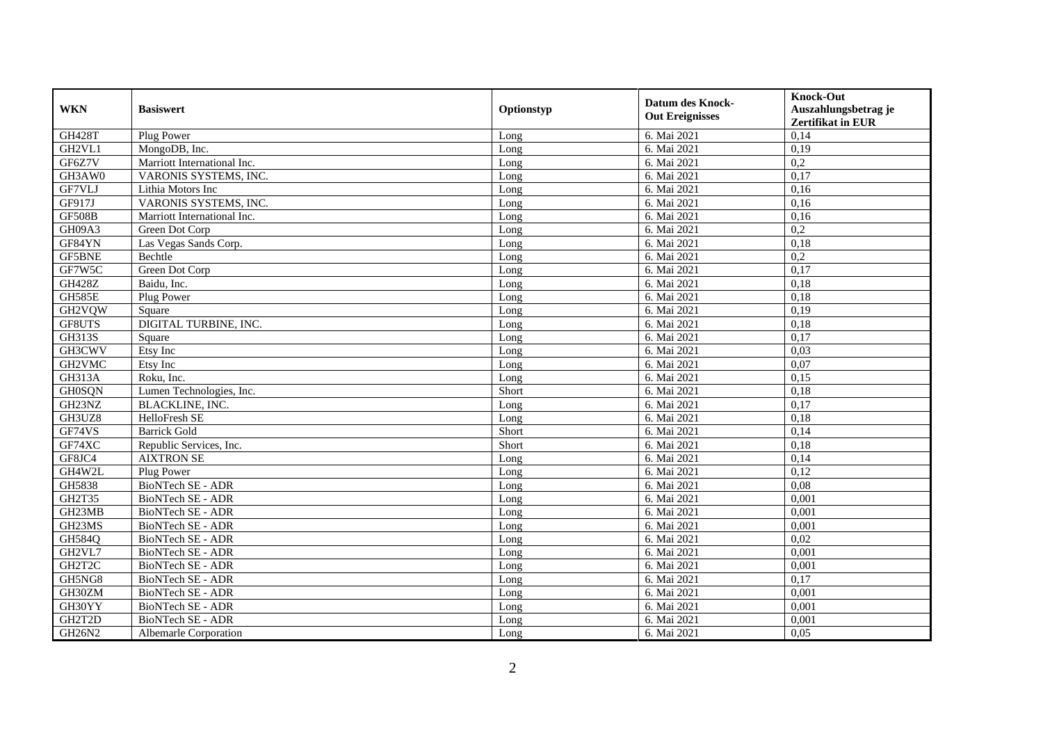| <b>WKN</b>    | <b>Basiswert</b>            | Optionstyp | <b>Datum des Knock-</b><br><b>Out Ereignisses</b> | <b>Knock-Out</b><br>Auszahlungsbetrag je<br><b>Zertifikat in EUR</b> |
|---------------|-----------------------------|------------|---------------------------------------------------|----------------------------------------------------------------------|
| <b>GH428T</b> | Plug Power                  | Long       | 6. Mai 2021                                       | 0,14                                                                 |
| GH2VL1        | MongoDB, Inc.               | Long       | 6. Mai 2021                                       | 0,19                                                                 |
| GF6Z7V        | Marriott International Inc. | Long       | 6. Mai 2021                                       | 0,2                                                                  |
| GH3AW0        | VARONIS SYSTEMS, INC.       | Long       | 6. Mai 2021                                       | 0,17                                                                 |
| GF7VLJ        | Lithia Motors Inc           | Long       | 6. Mai 2021                                       | 0,16                                                                 |
| GF917J        | VARONIS SYSTEMS, INC.       | Long       | 6. Mai 2021                                       | 0.16                                                                 |
| <b>GF508B</b> | Marriott International Inc. | Long       | 6. Mai 2021                                       | 0,16                                                                 |
| GH09A3        | Green Dot Corp              | Long       | 6. Mai 2021                                       | 0,2                                                                  |
| GF84YN        | Las Vegas Sands Corp.       | Long       | 6. Mai 2021                                       | 0,18                                                                 |
| GF5BNE        | Bechtle                     | Long       | 6. Mai 2021                                       | 0,2                                                                  |
| GF7W5C        | Green Dot Corp              | Long       | 6. Mai 2021                                       | 0,17                                                                 |
| <b>GH428Z</b> | Baidu, Inc.                 | Long       | 6. Mai 2021                                       | 0,18                                                                 |
| <b>GH585E</b> | Plug Power                  | Long       | 6. Mai 2021                                       | 0,18                                                                 |
| GH2VQW        | Square                      | Long       | 6. Mai 2021                                       | 0,19                                                                 |
| GF8UTS        | DIGITAL TURBINE, INC.       | Long       | 6. Mai 2021                                       | 0,18                                                                 |
| GH313S        | Square                      | Long       | 6. Mai 2021                                       | 0,17                                                                 |
| GH3CWV        | Etsy Inc                    | Long       | 6. Mai 2021                                       | 0,03                                                                 |
| GH2VMC        | Etsy Inc                    | Long       | 6. Mai 2021                                       | 0,07                                                                 |
| <b>GH313A</b> | Roku, Inc.                  | Long       | 6. Mai 2021                                       | 0,15                                                                 |
| <b>GH0SQN</b> | Lumen Technologies, Inc.    | Short      | 6. Mai 2021                                       | 0,18                                                                 |
| GH23NZ        | <b>BLACKLINE, INC.</b>      | Long       | 6. Mai 2021                                       | 0,17                                                                 |
| GH3UZ8        | HelloFresh SE               | Long       | 6. Mai 2021                                       | 0.18                                                                 |
| GF74VS        | <b>Barrick Gold</b>         | Short      | 6. Mai 2021                                       | 0,14                                                                 |
| GF74XC        | Republic Services, Inc.     | Short      | 6. Mai 2021                                       | 0,18                                                                 |
| GF8JC4        | <b>AIXTRON SE</b>           | Long       | 6. Mai 2021                                       | 0,14                                                                 |
| GH4W2L        | Plug Power                  | Long       | 6. Mai 2021                                       | 0,12                                                                 |
| GH5838        | <b>BioNTech SE - ADR</b>    | Long       | 6. Mai 2021                                       | 0,08                                                                 |
| GH2T35        | <b>BioNTech SE - ADR</b>    | Long       | 6. Mai 2021                                       | 0,001                                                                |
| GH23MB        | BioNTech SE - ADR           | Long       | 6. Mai 2021                                       | 0.001                                                                |
| GH23MS        | BioNTech SE - ADR           | Long       | 6. Mai 2021                                       | 0,001                                                                |
| GH584Q        | BioNTech SE - ADR           | Long       | 6. Mai 2021                                       | 0,02                                                                 |
| GH2VL7        | <b>BioNTech SE - ADR</b>    | Long       | 6. Mai 2021                                       | 0,001                                                                |
| GH2T2C        | <b>BioNTech SE - ADR</b>    | Long       | 6. Mai 2021                                       | 0,001                                                                |
| GH5NG8        | <b>BioNTech SE - ADR</b>    | Long       | 6. Mai 2021                                       | 0,17                                                                 |
| GH30ZM        | <b>BioNTech SE - ADR</b>    | Long       | 6. Mai 2021                                       | 0,001                                                                |
| GH30YY        | BioNTech SE - ADR           | Long       | 6. Mai 2021                                       | 0,001                                                                |
| GH2T2D        | BioNTech SE - ADR           | Long       | 6. Mai 2021                                       | 0,001                                                                |
| GH26N2        | Albemarle Corporation       | Long       | 6. Mai 2021                                       | 0,05                                                                 |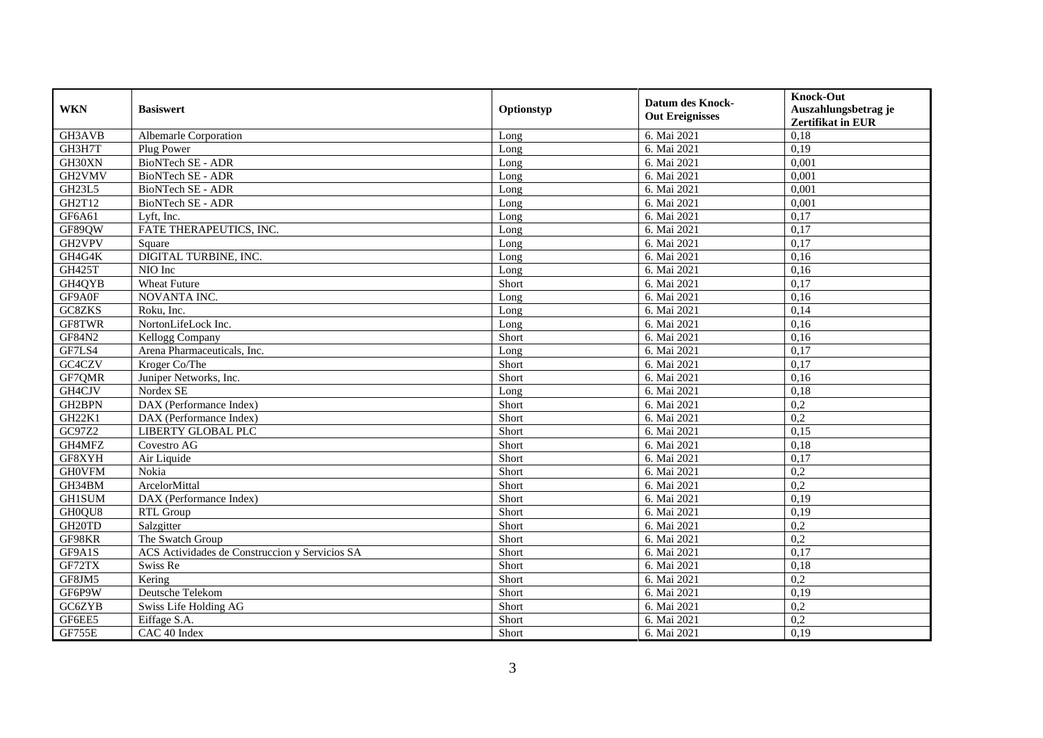| <b>WKN</b>         | <b>Basiswert</b>                               | Optionstyp | <b>Datum des Knock-</b><br><b>Out Ereignisses</b> | <b>Knock-Out</b>         |
|--------------------|------------------------------------------------|------------|---------------------------------------------------|--------------------------|
|                    |                                                |            |                                                   | Auszahlungsbetrag je     |
|                    |                                                |            |                                                   | <b>Zertifikat in EUR</b> |
| GH3AVB             | Albemarle Corporation                          | Long       | 6. Mai 2021                                       | 0,18                     |
| GH3H7T             | Plug Power                                     | Long       | 6. Mai 2021                                       | 0,19                     |
| GH30XN             | BioNTech SE - ADR                              | Long       | 6. Mai 2021                                       | 0,001                    |
| GH2VMV             | BioNTech SE - ADR                              | Long       | 6. Mai 2021                                       | 0,001                    |
| <b>GH23L5</b>      | <b>BioNTech SE - ADR</b>                       | Long       | 6. Mai 2021                                       | 0,001                    |
| GH2T12             | <b>BioNTech SE - ADR</b>                       | Long       | 6. Mai 2021                                       | 0,001                    |
| GF6A61             | Lyft. Inc.                                     | Long       | 6. Mai 2021                                       | 0,17                     |
| GF89QW             | FATE THERAPEUTICS, INC.                        | Long       | 6. Mai 2021                                       | 0,17                     |
| GH2VPV             | Square                                         | Long       | 6. Mai 2021                                       | 0,17                     |
| GH4G4K             | DIGITAL TURBINE, INC.                          | Long       | 6. Mai 2021                                       | 0,16                     |
| <b>GH425T</b>      | NIO Inc                                        | Long       | 6. Mai 2021                                       | 0,16                     |
| GH4QYB             | Wheat Future                                   | Short      | 6. Mai 2021                                       | 0,17                     |
| GF9A0F             | <b>NOVANTA INC.</b>                            | Long       | 6. Mai 2021                                       | 0,16                     |
| GC8ZKS             | Roku, Inc.                                     | Long       | 6. Mai 2021                                       | 0,14                     |
| GF8TWR             | NortonLifeLock Inc.                            | Long       | 6. Mai 2021                                       | 0,16                     |
| GF84N2             | Kellogg Company                                | Short      | 6. Mai 2021                                       | 0,16                     |
| GF7LS4             | Arena Pharmaceuticals, Inc.                    | Long       | 6. Mai 2021                                       | 0,17                     |
| GC4CZV             | Kroger Co/The                                  | Short      | 6. Mai 2021                                       | 0,17                     |
| GF7QMR             | Juniper Networks, Inc.                         | Short      | 6. Mai 2021                                       | 0,16                     |
| GH4CJV             | Nordex SE                                      | Long       | 6. Mai 2021                                       | 0,18                     |
| GH2BPN             | DAX (Performance Index)                        | Short      | 6. Mai 2021                                       | 0,2                      |
| GH <sub>22K1</sub> | DAX (Performance Index)                        | Short      | 6. Mai 2021                                       | 0,2                      |
| GC97Z2             | LIBERTY GLOBAL PLC                             | Short      | 6. Mai 2021                                       | 0,15                     |
| GH4MFZ             | Covestro AG                                    | Short      | 6. Mai 2021                                       | 0,18                     |
| GF8XYH             | Air Liquide                                    | Short      | 6. Mai 2021                                       | 0,17                     |
| <b>GH0VFM</b>      | Nokia                                          | Short      | 6. Mai 2021                                       | 0,2                      |
| GH34BM             | ArcelorMittal                                  | Short      | 6. Mai 2021                                       | 0,2                      |
| <b>GH1SUM</b>      | DAX (Performance Index)                        | Short      | 6. Mai 2021                                       | 0,19                     |
| GH0QU8             | RTL Group                                      | Short      | 6. Mai 2021                                       | 0,19                     |
| GH <sub>20TD</sub> | Salzgitter                                     | Short      | 6. Mai 2021                                       | 0,2                      |
| GF98KR             | The Swatch Group                               | Short      | 6. Mai 2021                                       | 0,2                      |
| GF9A1S             | ACS Actividades de Construccion y Servicios SA | Short      | 6. Mai 2021                                       | 0,17                     |
| GF72TX             | Swiss Re                                       | Short      | 6. Mai 2021                                       | 0,18                     |
| GF8JM5             | Kering                                         | Short      | 6. Mai 2021                                       | $\overline{0,2}$         |
| GF6P9W             | Deutsche Telekom                               | Short      | 6. Mai 2021                                       | 0,19                     |
| GC6ZYB             | Swiss Life Holding AG                          | Short      | 6. Mai 2021                                       | 0,2                      |
| GF6EE5             | Eiffage S.A.                                   | Short      | 6. Mai 2021                                       | 0,2                      |
| GF755E             | CAC 40 Index                                   | Short      | 6. Mai 2021                                       | 0,19                     |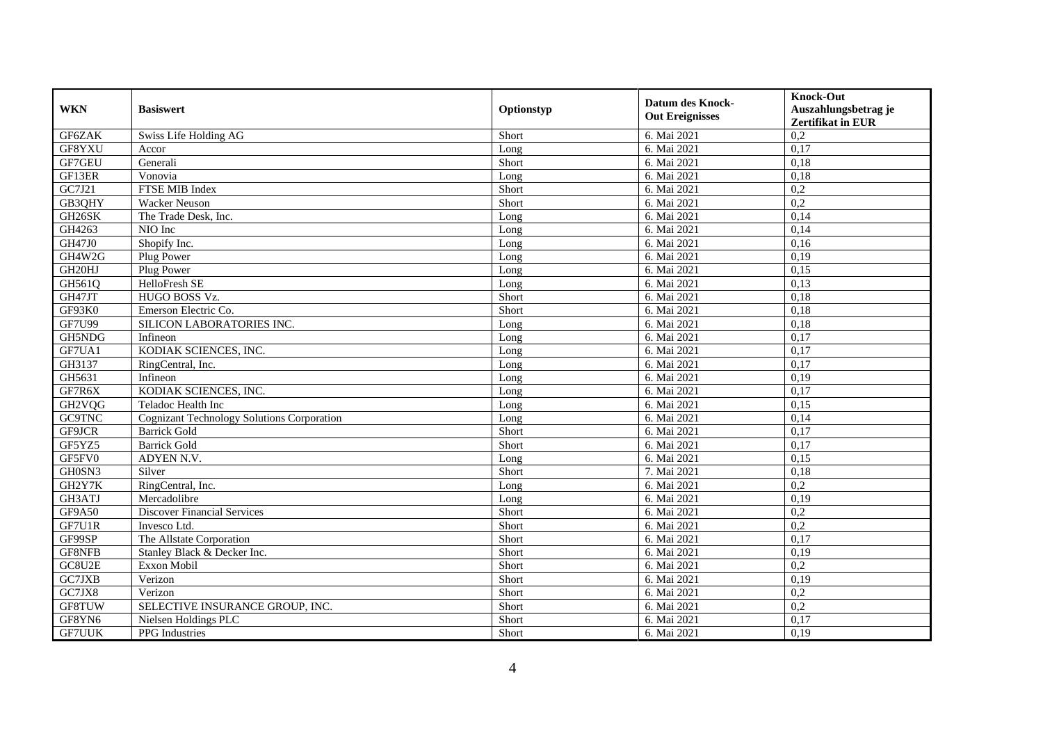| <b>WKN</b>          | <b>Basiswert</b>                                  | Optionstyp | <b>Datum des Knock-</b><br><b>Out Ereignisses</b> | <b>Knock-Out</b><br>Auszahlungsbetrag je<br>Zertifikat in EUR |
|---------------------|---------------------------------------------------|------------|---------------------------------------------------|---------------------------------------------------------------|
| GF6ZAK              | Swiss Life Holding AG                             | Short      | 6. Mai 2021                                       | 0,2                                                           |
| GF8YXU              | Accor                                             | Long       | 6. Mai 2021                                       | 0,17                                                          |
| GF7GEU              | Generali                                          | Short      | 6. Mai 2021                                       | 0,18                                                          |
| GF13ER              | Vonovia                                           | Long       | 6. Mai 2021                                       | 0,18                                                          |
| GC7J21              | FTSE MIB Index                                    | Short      | 6. Mai 2021                                       | 0,2                                                           |
| GB3QHY              | <b>Wacker Neuson</b>                              | Short      | 6. Mai 2021                                       | $\overline{0.2}$                                              |
| GH26SK              | The Trade Desk, Inc.                              | Long       | 6. Mai 2021                                       | 0,14                                                          |
| GH4263              | NIO Inc                                           | Long       | 6. Mai 2021                                       | 0,14                                                          |
| GH47J0              | Shopify Inc.                                      | Long       | 6. Mai 2021                                       | 0,16                                                          |
| GH4W2G              | Plug Power                                        | Long       | 6. Mai 2021                                       | 0,19                                                          |
| GH20HJ              | Plug Power                                        | Long       | 6. Mai 2021                                       | 0.15                                                          |
| GH561Q              | <b>HelloFresh SE</b>                              | Long       | 6. Mai 2021                                       | 0,13                                                          |
| GH47JT              | HUGO BOSS Vz.                                     | Short      | 6. Mai 2021                                       | 0,18                                                          |
| GF93K0              | Emerson Electric Co.                              | Short      | 6. Mai 2021                                       | 0,18                                                          |
| <b>GF7U99</b>       | SILICON LABORATORIES INC.                         | Long       | 6. Mai 2021                                       | 0,18                                                          |
| GH5NDG              | Infineon                                          | Long       | 6. Mai 2021                                       | 0,17                                                          |
| GF7UA1              | KODIAK SCIENCES, INC.                             | Long       | 6. Mai 2021                                       | 0,17                                                          |
| GH3137              | RingCentral, Inc.                                 | Long       | 6. Mai 2021                                       | 0,17                                                          |
| GH5631              | Infineon                                          | Long       | 6. Mai 2021                                       | 0,19                                                          |
| GF7R6X              | KODIAK SCIENCES, INC.                             | Long       | 6. Mai 2021                                       | 0,17                                                          |
| GH <sub>2</sub> VQG | Teladoc Health Inc                                | Long       | 6. Mai 2021                                       | 0,15                                                          |
| GC9TNC              | <b>Cognizant Technology Solutions Corporation</b> | Long       | 6. Mai 2021                                       | 0,14                                                          |
| GF9JCR              | <b>Barrick Gold</b>                               | Short      | 6. Mai 2021                                       | 0,17                                                          |
| GF5YZ5              | <b>Barrick Gold</b>                               | Short      | 6. Mai 2021                                       | 0,17                                                          |
| GF5FV0              | ADYEN N.V.                                        | Long       | 6. Mai 2021                                       | 0,15                                                          |
| GH0SN3              | Silver                                            | Short      | 7. Mai 2021                                       | 0,18                                                          |
| GH2Y7K              | RingCentral, Inc.                                 | Long       | 6. Mai 2021                                       | 0,2                                                           |
| GH3ATJ              | Mercadolibre                                      | Long       | 6. Mai 2021                                       | 0,19                                                          |
| GF9A50              | <b>Discover Financial Services</b>                | Short      | 6. Mai 2021                                       | 0,2                                                           |
| GF7U1R              | Invesco Ltd.                                      | Short      | 6. Mai 2021                                       | 0,2                                                           |
| GF99SP              | The Allstate Corporation                          | Short      | 6. Mai 2021                                       | 0,17                                                          |
| GF8NFB              | Stanley Black & Decker Inc.                       | Short      | 6. Mai 2021                                       | 0,19                                                          |
| GC8U2E              | Exxon Mobil                                       | Short      | 6. Mai 2021                                       | $\overline{0.2}$                                              |
| GC7JXB              | Verizon                                           | Short      | 6. Mai 2021                                       | 0,19                                                          |
| GC7JX8              | Verizon                                           | Short      | 6. Mai 2021                                       | 0,2                                                           |
| GF8TUW              | SELECTIVE INSURANCE GROUP, INC.                   | Short      | 6. Mai 2021                                       | 0,2                                                           |
| GF8YN6              | Nielsen Holdings PLC                              | Short      | 6. Mai 2021                                       | 0,17                                                          |
| <b>GF7UUK</b>       | PPG Industries                                    | Short      | 6. Mai 2021                                       | 0,19                                                          |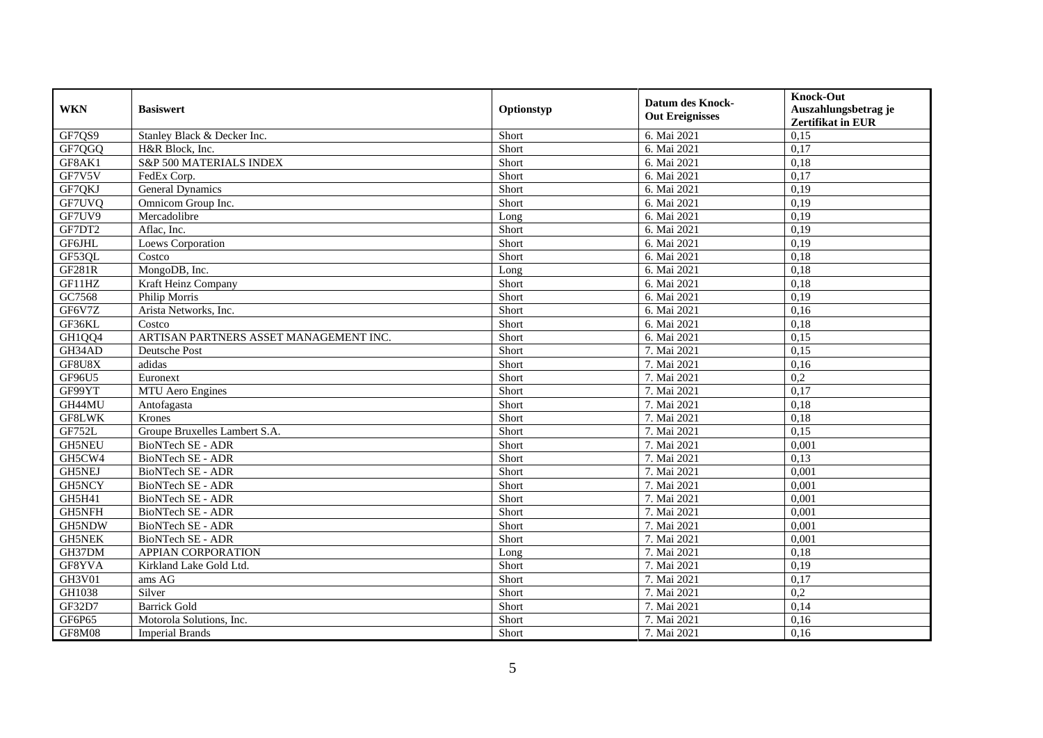| <b>WKN</b>    | <b>Basiswert</b>                       | Optionstyp | <b>Datum des Knock-</b><br><b>Out Ereignisses</b> | <b>Knock-Out</b><br>Auszahlungsbetrag je<br>Zertifikat in EUR |
|---------------|----------------------------------------|------------|---------------------------------------------------|---------------------------------------------------------------|
| GF7QS9        | Stanley Black & Decker Inc.            | Short      | 6. Mai 2021                                       | 0,15                                                          |
| GF7QGQ        | H&R Block, Inc.                        | Short      | 6. Mai 2021                                       | 0,17                                                          |
| GF8AK1        | S&P 500 MATERIALS INDEX                | Short      | 6. Mai 2021                                       | 0,18                                                          |
| GF7V5V        | FedEx Corp.                            | Short      | 6. Mai 2021                                       | 0,17                                                          |
| GF7QKJ        | <b>General Dynamics</b>                | Short      | 6. Mai 2021                                       | 0,19                                                          |
| GF7UVQ        | Omnicom Group Inc.                     | Short      | 6. Mai 2021                                       | 0,19                                                          |
| GF7UV9        | Mercadolibre                           | Long       | 6. Mai 2021                                       | 0,19                                                          |
| GF7DT2        | Aflac, Inc.                            | Short      | 6. Mai 2021                                       | 0,19                                                          |
| <b>GF6JHL</b> | Loews Corporation                      | Short      | 6. Mai 2021                                       | 0,19                                                          |
| GF53QL        | Costco                                 | Short      | 6. Mai 2021                                       | 0,18                                                          |
| GF281R        | MongoDB, Inc.                          | Long       | 6. Mai 2021                                       | 0,18                                                          |
| GF11HZ        | Kraft Heinz Company                    | Short      | 6. Mai 2021                                       | 0,18                                                          |
| GC7568        | Philip Morris                          | Short      | 6. Mai 2021                                       | 0,19                                                          |
| GF6V7Z        | Arista Networks, Inc.                  | Short      | 6. Mai 2021                                       | 0,16                                                          |
| GF36KL        | Costco                                 | Short      | 6. Mai 2021                                       | 0,18                                                          |
| GH1QQ4        | ARTISAN PARTNERS ASSET MANAGEMENT INC. | Short      | 6. Mai 2021                                       | 0,15                                                          |
| GH34AD        | <b>Deutsche Post</b>                   | Short      | 7. Mai 2021                                       | 0,15                                                          |
| GF8U8X        | adidas                                 | Short      | 7. Mai 2021                                       | 0,16                                                          |
| GF96U5        | Euronext                               | Short      | 7. Mai 2021                                       | 0,2                                                           |
| GF99YT        | MTU Aero Engines                       | Short      | 7. Mai 2021                                       | 0,17                                                          |
| GH44MU        | Antofagasta                            | Short      | 7. Mai 2021                                       | 0.18                                                          |
| GF8LWK        | Krones                                 | Short      | 7. Mai 2021                                       | 0,18                                                          |
| GF752L        | Groupe Bruxelles Lambert S.A.          | Short      | 7. Mai 2021                                       | 0,15                                                          |
| <b>GH5NEU</b> | <b>BioNTech SE - ADR</b>               | Short      | 7. Mai 2021                                       | 0,001                                                         |
| GH5CW4        | BioNTech SE - ADR                      | Short      | 7. Mai 2021                                       | 0,13                                                          |
| GH5NEJ        | BioNTech SE - ADR                      | Short      | 7. Mai 2021                                       | 0,001                                                         |
| GH5NCY        | <b>BioNTech SE - ADR</b>               | Short      | 7. Mai 2021                                       | 0.001                                                         |
| GH5H41        | <b>BioNTech SE - ADR</b>               | Short      | 7. Mai 2021                                       | 0,001                                                         |
| <b>GH5NFH</b> | <b>BioNTech SE - ADR</b>               | Short      | 7. Mai 2021                                       | 0,001                                                         |
| GH5NDW        | BioNTech SE - ADR                      | Short      | 7. Mai 2021                                       | 0,001                                                         |
| <b>GH5NEK</b> | BioNTech SE - ADR                      | Short      | 7. Mai 2021                                       | 0,001                                                         |
| GH37DM        | APPIAN CORPORATION                     | Long       | 7. Mai 2021                                       | 0,18                                                          |
| GF8YVA        | Kirkland Lake Gold Ltd.                | Short      | 7. Mai 2021                                       | 0,19                                                          |
| GH3V01        | ams AG                                 | Short      | 7. Mai 2021                                       | 0,17                                                          |
| GH1038        | Silver                                 | Short      | 7. Mai 2021                                       | 0,2                                                           |
| GF32D7        | <b>Barrick Gold</b>                    | Short      | 7. Mai 2021                                       | 0,14                                                          |
| GF6P65        | Motorola Solutions, Inc.               | Short      | 7. Mai 2021                                       | 0,16                                                          |
| GF8M08        | <b>Imperial Brands</b>                 | Short      | 7. Mai 2021                                       | 0,16                                                          |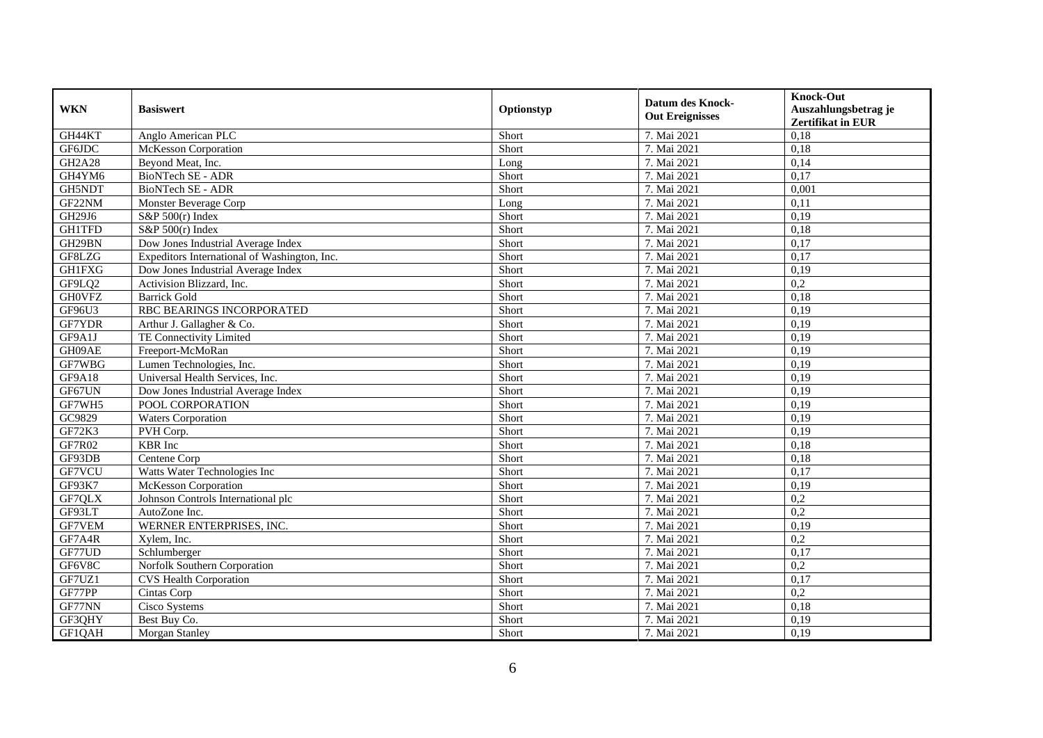| <b>WKN</b>    | <b>Basiswert</b>                             | Optionstyp | <b>Datum des Knock-</b><br><b>Out Ereignisses</b> | <b>Knock-Out</b>         |
|---------------|----------------------------------------------|------------|---------------------------------------------------|--------------------------|
|               |                                              |            |                                                   | Auszahlungsbetrag je     |
|               |                                              |            |                                                   | <b>Zertifikat in EUR</b> |
| GH44KT        | Anglo American PLC                           | Short      | 7. Mai 2021                                       | 0,18                     |
| GF6JDC        | McKesson Corporation                         | Short      | 7. Mai 2021                                       | 0,18                     |
| <b>GH2A28</b> | Beyond Meat, Inc.                            | Long       | 7. Mai 2021                                       | 0,14                     |
| GH4YM6        | BioNTech SE - ADR                            | Short      | 7. Mai 2021                                       | 0,17                     |
| GH5NDT        | <b>BioNTech SE - ADR</b>                     | Short      | 7. Mai 2021                                       | 0,001                    |
| GF22NM        | Monster Beverage Corp                        | Long       | 7. Mai 2021                                       | 0,11                     |
| GH29J6        | S&P 500(r) Index                             | Short      | 7. Mai 2021                                       | 0,19                     |
| <b>GH1TFD</b> | S&P 500(r) Index                             | Short      | 7. Mai 2021                                       | 0,18                     |
| GH29BN        | Dow Jones Industrial Average Index           | Short      | 7. Mai 2021                                       | 0,17                     |
| GF8LZG        | Expeditors International of Washington, Inc. | Short      | 7. Mai 2021                                       | 0,17                     |
| <b>GH1FXG</b> | Dow Jones Industrial Average Index           | Short      | 7. Mai 2021                                       | 0,19                     |
| GF9LQ2        | Activision Blizzard, Inc.                    | Short      | 7. Mai 2021                                       | 0,2                      |
| <b>GHOVFZ</b> | <b>Barrick Gold</b>                          | Short      | 7. Mai 2021                                       | 0,18                     |
| GF96U3        | RBC BEARINGS INCORPORATED                    | Short      | 7. Mai 2021                                       | 0,19                     |
| GF7YDR        | Arthur J. Gallagher & Co.                    | Short      | 7. Mai 2021                                       | 0,19                     |
| GF9A1J        | TE Connectivity Limited                      | Short      | 7. Mai 2021                                       | 0,19                     |
| GH09AE        | Freeport-McMoRan                             | Short      | 7. Mai 2021                                       | 0,19                     |
| GF7WBG        | Lumen Technologies, Inc.                     | Short      | 7. Mai 2021                                       | 0,19                     |
| GF9A18        | Universal Health Services, Inc.              | Short      | 7. Mai 2021                                       | 0,19                     |
| GF67UN        | Dow Jones Industrial Average Index           | Short      | 7. Mai 2021                                       | 0,19                     |
| GF7WH5        | POOL CORPORATION                             | Short      | 7. Mai 2021                                       | 0,19                     |
| GC9829        | <b>Waters Corporation</b>                    | Short      | 7. Mai 2021                                       | 0,19                     |
| GF72K3        | PVH Corp.                                    | Short      | 7. Mai 2021                                       | 0,19                     |
| GF7R02        | <b>KBR</b> Inc                               | Short      | 7. Mai 2021                                       | 0,18                     |
| GF93DB        | Centene Corp                                 | Short      | 7. Mai 2021                                       | 0,18                     |
| GF7VCU        | Watts Water Technologies Inc                 | Short      | 7. Mai 2021                                       | 0,17                     |
| GF93K7        | <b>McKesson Corporation</b>                  | Short      | 7. Mai 2021                                       | 0,19                     |
| GF7QLX        | Johnson Controls International plc           | Short      | 7. Mai 2021                                       | 0,2                      |
| GF93LT        | AutoZone Inc.                                | Short      | 7. Mai 2021                                       | $\overline{0.2}$         |
| GF7VEM        | WERNER ENTERPRISES, INC.                     | Short      | 7. Mai 2021                                       | 0,19                     |
| GF7A4R        | Xylem, Inc.                                  | Short      | 7. Mai 2021                                       | 0,2                      |
| GF77UD        | Schlumberger                                 | Short      | 7. Mai 2021                                       | 0,17                     |
| GF6V8C        | Norfolk Southern Corporation                 | Short      | 7. Mai 2021                                       | 0,2                      |
| GF7UZ1        | <b>CVS</b> Health Corporation                | Short      | 7. Mai 2021                                       | 0,17                     |
| GF77PP        | Cintas Corp                                  | Short      | 7. Mai 2021                                       | 0,2                      |
| GF77NN        | Cisco Systems                                | Short      | 7. Mai 2021                                       | 0,18                     |
| GF3QHY        | Best Buy Co.                                 | Short      | 7. Mai 2021                                       | 0,19                     |
| GF1QAH        | Morgan Stanley                               | Short      | 7. Mai 2021                                       | 0,19                     |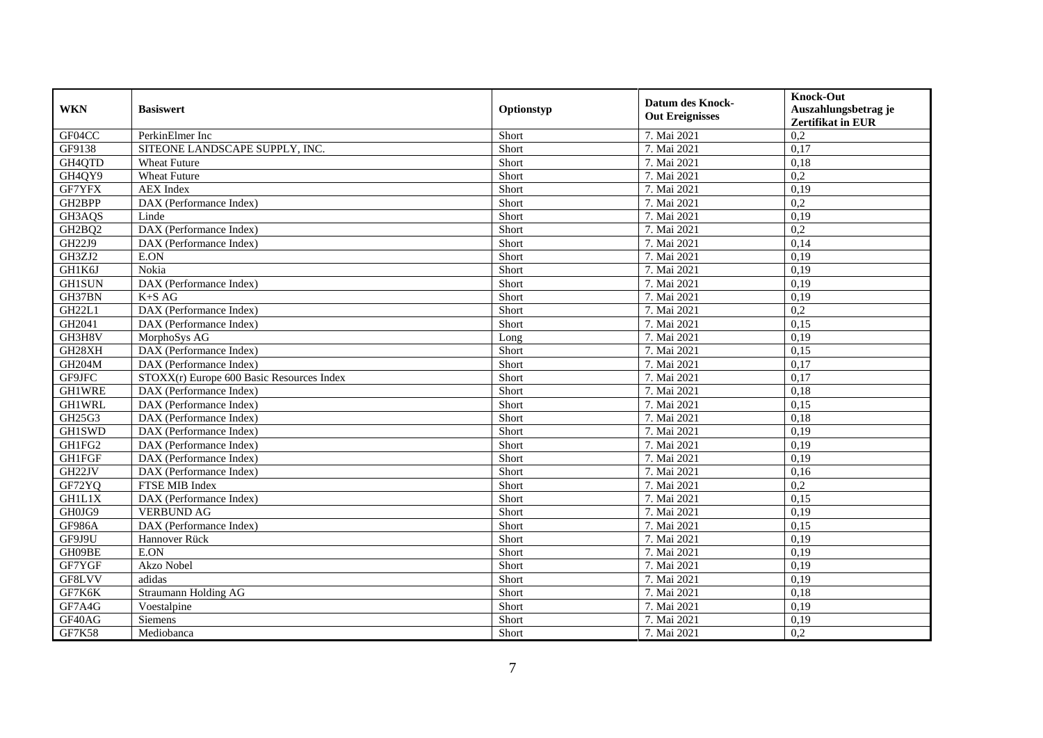| <b>WKN</b>    | <b>Basiswert</b>                          | Optionstyp | <b>Datum des Knock-</b><br><b>Out Ereignisses</b> | <b>Knock-Out</b><br>Auszahlungsbetrag je<br>Zertifikat in EUR |
|---------------|-------------------------------------------|------------|---------------------------------------------------|---------------------------------------------------------------|
| GF04CC        | PerkinElmer Inc                           | Short      | 7. Mai 2021                                       | 0,2                                                           |
| GF9138        | SITEONE LANDSCAPE SUPPLY, INC.            | Short      | 7. Mai 2021                                       | 0,17                                                          |
| GH4QTD        | <b>Wheat Future</b>                       | Short      | 7. Mai 2021                                       | 0.18                                                          |
| GH4QY9        | <b>Wheat Future</b>                       | Short      | 7. Mai 2021                                       | 0,2                                                           |
| GF7YFX        | <b>AEX</b> Index                          | Short      | 7. Mai 2021                                       | 0,19                                                          |
| GH2BPP        | DAX (Performance Index)                   | Short      | 7. Mai 2021                                       | 0,2                                                           |
| GH3AQS        | Linde                                     | Short      | 7. Mai 2021                                       | 0,19                                                          |
| GH2BQ2        | DAX (Performance Index)                   | Short      | 7. Mai 2021                                       | 0,2                                                           |
| GH22J9        | DAX (Performance Index)                   | Short      | 7. Mai 2021                                       | 0,14                                                          |
| GH3ZJ2        | E.ON                                      | Short      | 7. Mai 2021                                       | 0,19                                                          |
| GH1K6J        | Nokia                                     | Short      | 7. Mai 2021                                       | 0,19                                                          |
| <b>GH1SUN</b> | DAX (Performance Index)                   | Short      | 7. Mai 2021                                       | 0,19                                                          |
| GH37BN        | $K+SAG$                                   | Short      | 7. Mai 2021                                       | 0,19                                                          |
| <b>GH22L1</b> | DAX (Performance Index)                   | Short      | 7. Mai 2021                                       | 0,2                                                           |
| GH2041        | DAX (Performance Index)                   | Short      | 7. Mai 2021                                       | 0,15                                                          |
| GH3H8V        | MorphoSys AG                              | Long       | 7. Mai 2021                                       | 0,19                                                          |
| GH28XH        | DAX (Performance Index)                   | Short      | 7. Mai 2021                                       | 0,15                                                          |
| GH204M        | DAX (Performance Index)                   | Short      | 7. Mai 2021                                       | 0,17                                                          |
| GF9JFC        | STOXX(r) Europe 600 Basic Resources Index | Short      | 7. Mai 2021                                       | 0,17                                                          |
| <b>GH1WRE</b> | DAX (Performance Index)                   | Short      | 7. Mai 2021                                       | 0,18                                                          |
| <b>GH1WRL</b> | DAX (Performance Index)                   | Short      | 7. Mai 2021                                       | 0,15                                                          |
| GH25G3        | DAX (Performance Index)                   | Short      | 7. Mai 2021                                       | 0,18                                                          |
| <b>GH1SWD</b> | DAX (Performance Index)                   | Short      | 7. Mai 2021                                       | 0,19                                                          |
| GH1FG2        | DAX (Performance Index)                   | Short      | 7. Mai 2021                                       | 0,19                                                          |
| <b>GH1FGF</b> | DAX (Performance Index)                   | Short      | 7. Mai 2021                                       | 0,19                                                          |
| GH22JV        | DAX (Performance Index)                   | Short      | 7. Mai 2021                                       | 0,16                                                          |
| GF72YQ        | FTSE MIB Index                            | Short      | 7. Mai 2021                                       | 0,2                                                           |
| <b>GH1L1X</b> | DAX (Performance Index)                   | Short      | 7. Mai 2021                                       | 0,15                                                          |
| GH0JG9        | <b>VERBUND AG</b>                         | Short      | 7. Mai 2021                                       | 0,19                                                          |
| GF986A        | DAX (Performance Index)                   | Short      | 7. Mai 2021                                       | 0,15                                                          |
| GF9J9U        | Hannover Rück                             | Short      | 7. Mai 2021                                       | 0,19                                                          |
| GH09BE        | E.ON                                      | Short      | 7. Mai 2021                                       | 0,19                                                          |
| GF7YGF        | Akzo Nobel                                | Short      | 7. Mai 2021                                       | 0,19                                                          |
| GF8LVV        | adidas                                    | Short      | 7. Mai 2021                                       | 0,19                                                          |
| GF7K6K        | <b>Straumann Holding AG</b>               | Short      | 7. Mai 2021                                       | 0,18                                                          |
| GF7A4G        | Voestalpine                               | Short      | 7. Mai 2021                                       | 0,19                                                          |
| GF40AG        | Siemens                                   | Short      | 7. Mai 2021                                       | 0,19                                                          |
| <b>GF7K58</b> | Mediobanca                                | Short      | 7. Mai 2021                                       | 0,2                                                           |